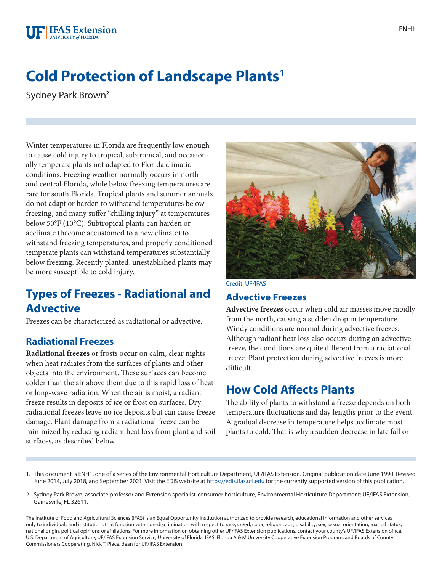# **Cold Protection of Landscape Plants1**

Sydney Park Brown2

Winter temperatures in Florida are frequently low enough to cause cold injury to tropical, subtropical, and occasionally temperate plants not adapted to Florida climatic conditions. Freezing weather normally occurs in north and central Florida, while below freezing temperatures are rare for south Florida. Tropical plants and summer annuals do not adapt or harden to withstand temperatures below freezing, and many suffer "chilling injury" at temperatures below 50°F (10°C). Subtropical plants can harden or acclimate (become accustomed to a new climate) to withstand freezing temperatures, and properly conditioned temperate plants can withstand temperatures substantially below freezing. Recently planted, unestablished plants may be more susceptible to cold injury.

# **Types of Freezes - Radiational and Advective**

Freezes can be characterized as radiational or advective.

### **Radiational Freezes**

**Radiational freezes** or frosts occur on calm, clear nights when heat radiates from the surfaces of plants and other objects into the environment. These surfaces can become colder than the air above them due to this rapid loss of heat or long-wave radiation. When the air is moist, a radiant freeze results in deposits of ice or frost on surfaces. Dry radiational freezes leave no ice deposits but can cause freeze damage. Plant damage from a radiational freeze can be minimized by reducing radiant heat loss from plant and soil surfaces, as described below.



Credit: UF/IFAS

#### **Advective Freezes**

**Advective freezes** occur when cold air masses move rapidly from the north, causing a sudden drop in temperature. Windy conditions are normal during advective freezes. Although radiant heat loss also occurs during an advective freeze, the conditions are quite different from a radiational freeze. Plant protection during advective freezes is more difficult.

### **How Cold Affects Plants**

The ability of plants to withstand a freeze depends on both temperature fluctuations and day lengths prior to the event. A gradual decrease in temperature helps acclimate most plants to cold. That is why a sudden decrease in late fall or

- 1. This document is ENH1, one of a series of the Environmental Horticulture Department, UF/IFAS Extension. Original publication date June 1990. Revised June 2014, July 2018, and September 2021. Visit the EDIS website at<https://edis.ifas.ufl.edu>for the currently supported version of this publication.
- 2. Sydney Park Brown, associate professor and Extension specialist-consumer horticulture, Environmental Horticulture Department; UF/IFAS Extension, Gainesville, FL 32611.

The Institute of Food and Agricultural Sciences (IFAS) is an Equal Opportunity Institution authorized to provide research, educational information and other services only to individuals and institutions that function with non-discrimination with respect to race, creed, color, religion, age, disability, sex, sexual orientation, marital status, national origin, political opinions or affiliations. For more information on obtaining other UF/IFAS Extension publications, contact your county's UF/IFAS Extension office. U.S. Department of Agriculture, UF/IFAS Extension Service, University of Florida, IFAS, Florida A & M University Cooperative Extension Program, and Boards of County Commissioners Cooperating. Nick T. Place, dean for UF/IFAS Extension.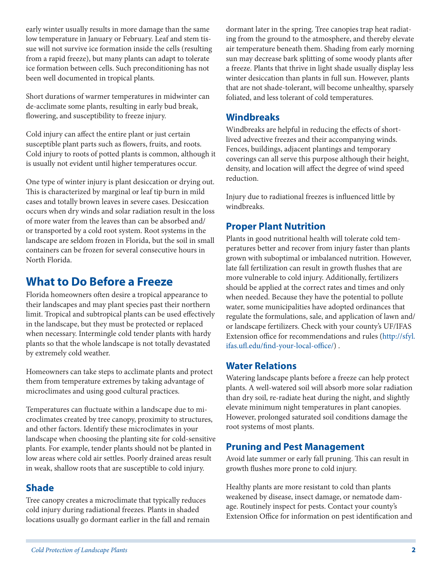early winter usually results in more damage than the same low temperature in January or February. Leaf and stem tissue will not survive ice formation inside the cells (resulting from a rapid freeze), but many plants can adapt to tolerate ice formation between cells. Such preconditioning has not been well documented in tropical plants.

Short durations of warmer temperatures in midwinter can de-acclimate some plants, resulting in early bud break, flowering, and susceptibility to freeze injury.

Cold injury can affect the entire plant or just certain susceptible plant parts such as flowers, fruits, and roots. Cold injury to roots of potted plants is common, although it is usually not evident until higher temperatures occur.

One type of winter injury is plant desiccation or drying out. This is characterized by marginal or leaf tip burn in mild cases and totally brown leaves in severe cases. Desiccation occurs when dry winds and solar radiation result in the loss of more water from the leaves than can be absorbed and/ or transported by a cold root system. Root systems in the landscape are seldom frozen in Florida, but the soil in small containers can be frozen for several consecutive hours in North Florida.

### **What to Do Before a Freeze**

Florida homeowners often desire a tropical appearance to their landscapes and may plant species past their northern limit. Tropical and subtropical plants can be used effectively in the landscape, but they must be protected or replaced when necessary. Intermingle cold tender plants with hardy plants so that the whole landscape is not totally devastated by extremely cold weather.

Homeowners can take steps to acclimate plants and protect them from temperature extremes by taking advantage of microclimates and using good cultural practices.

Temperatures can fluctuate within a landscape due to microclimates created by tree canopy, proximity to structures, and other factors. Identify these microclimates in your landscape when choosing the planting site for cold-sensitive plants. For example, tender plants should not be planted in low areas where cold air settles. Poorly drained areas result in weak, shallow roots that are susceptible to cold injury.

### **Shade**

Tree canopy creates a microclimate that typically reduces cold injury during radiational freezes. Plants in shaded locations usually go dormant earlier in the fall and remain dormant later in the spring. Tree canopies trap heat radiating from the ground to the atmosphere, and thereby elevate air temperature beneath them. Shading from early morning sun may decrease bark splitting of some woody plants after a freeze. Plants that thrive in light shade usually display less winter desiccation than plants in full sun. However, plants that are not shade-tolerant, will become unhealthy, sparsely foliated, and less tolerant of cold temperatures.

#### **Windbreaks**

Windbreaks are helpful in reducing the effects of shortlived advective freezes and their accompanying winds. Fences, buildings, adjacent plantings and temporary coverings can all serve this purpose although their height, density, and location will affect the degree of wind speed reduction.

Injury due to radiational freezes is influenced little by windbreaks.

### **Proper Plant Nutrition**

Plants in good nutritional health will tolerate cold temperatures better and recover from injury faster than plants grown with suboptimal or imbalanced nutrition. However, late fall fertilization can result in growth flushes that are more vulnerable to cold injury. Additionally, fertilizers should be applied at the correct rates and times and only when needed. Because they have the potential to pollute water, some municipalities have adopted ordinances that regulate the formulations, sale, and application of lawn and/ or landscape fertilizers. Check with your county's UF/IFAS Extension office for recommendations and rules ([http://sfyl.](http://sfyl.ifas.ufl.edu/find-your-local-office/) [ifas.ufl.edu/find-your-local-office/](http://sfyl.ifas.ufl.edu/find-your-local-office/)) .

### **Water Relations**

Watering landscape plants before a freeze can help protect plants. A well-watered soil will absorb more solar radiation than dry soil, re-radiate heat during the night, and slightly elevate minimum night temperatures in plant canopies. However, prolonged saturated soil conditions damage the root systems of most plants.

### **Pruning and Pest Management**

Avoid late summer or early fall pruning. This can result in growth flushes more prone to cold injury.

Healthy plants are more resistant to cold than plants weakened by disease, insect damage, or nematode damage. Routinely inspect for pests. Contact your county's Extension Office for information on pest identification and